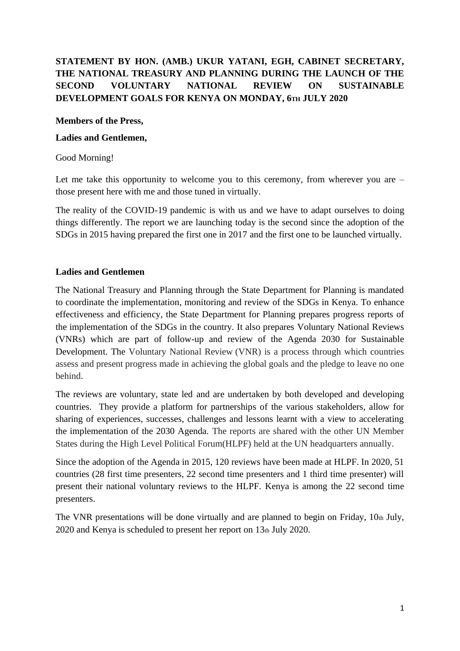# **STATEMENT BY HON. (AMB.) UKUR YATANI, EGH, CABINET SECRETARY, THE NATIONAL TREASURY AND PLANNING DURING THE LAUNCH OF THE SECOND VOLUNTARY NATIONAL REVIEW ON SUSTAINABLE DEVELOPMENT GOALS FOR KENYA ON MONDAY, 6TH JULY 2020**

#### **Members of the Press,**

#### **Ladies and Gentlemen,**

#### Good Morning!

Let me take this opportunity to welcome you to this ceremony, from wherever you are – those present here with me and those tuned in virtually.

The reality of the COVID-19 pandemic is with us and we have to adapt ourselves to doing things differently. The report we are launching today is the second since the adoption of the SDGs in 2015 having prepared the first one in 2017 and the first one to be launched virtually.

# **Ladies and Gentlemen**

The National Treasury and Planning through the State Department for Planning is mandated to coordinate the implementation, monitoring and review of the SDGs in Kenya. To enhance effectiveness and efficiency, the State Department for Planning prepares progress reports of the implementation of the SDGs in the country. It also prepares Voluntary National Reviews (VNRs) which are part of follow-up and review of the Agenda 2030 for Sustainable Development. The Voluntary National Review (VNR) is a process through which countries assess and present progress made in achieving the global goals and the pledge to leave no one behind.

The reviews are voluntary, state led and are undertaken by both developed and developing countries. They provide a platform for partnerships of the various stakeholders, allow for sharing of experiences, successes, challenges and lessons learnt with a view to accelerating the implementation of the 2030 Agenda. The reports are shared with the other UN Member States during the High Level Political Forum(HLPF) held at the UN headquarters annually.

Since the adoption of the Agenda in 2015, 120 reviews have been made at HLPF. In 2020, 51 countries (28 first time presenters, 22 second time presenters and 1 third time presenter) will present their national voluntary reviews to the HLPF. Kenya is among the 22 second time presenters.

The VNR presentations will be done virtually and are planned to begin on Friday, 10th July,  $2020$  and Kenya is scheduled to present her report on  $13<sub>th</sub>$  July 2020.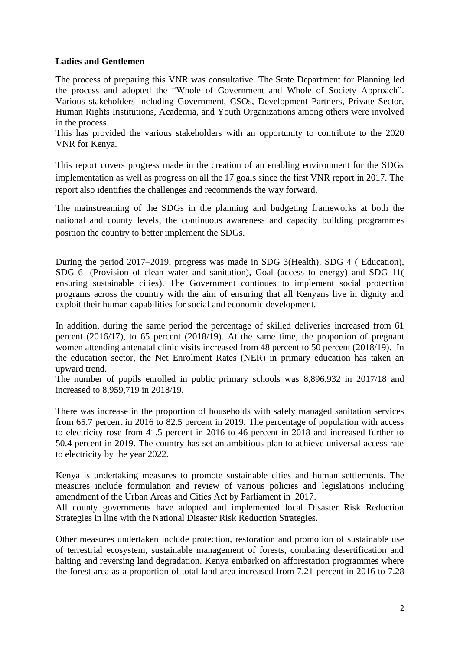# **Ladies and Gentlemen**

The process of preparing this VNR was consultative. The State Department for Planning led the process and adopted the "Whole of Government and Whole of Society Approach". Various stakeholders including Government, CSOs, Development Partners, Private Sector, Human Rights Institutions, Academia, and Youth Organizations among others were involved in the process.

This has provided the various stakeholders with an opportunity to contribute to the 2020 VNR for Kenya.

This report covers progress made in the creation of an enabling environment for the SDGs implementation as well as progress on all the 17 goals since the first VNR report in 2017. The report also identifies the challenges and recommends the way forward.

The mainstreaming of the SDGs in the planning and budgeting frameworks at both the national and county levels, the continuous awareness and capacity building programmes position the country to better implement the SDGs.

During the period 2017–2019, progress was made in SDG 3(Health), SDG 4 ( Education), SDG 6- (Provision of clean water and sanitation), Goal (access to energy) and SDG 11( ensuring sustainable cities). The Government continues to implement social protection programs across the country with the aim of ensuring that all Kenyans live in dignity and exploit their human capabilities for social and economic development.

In addition, during the same period the percentage of skilled deliveries increased from 61 percent (2016/17), to 65 percent (2018/19). At the same time, the proportion of pregnant women attending antenatal clinic visits increased from 48 percent to 50 percent (2018/19). In the education sector, the Net Enrolment Rates (NER) in primary education has taken an upward trend.

The number of pupils enrolled in public primary schools was 8,896,932 in 2017/18 and increased to 8,959,719 in 2018/19.

There was increase in the proportion of households with safely managed sanitation services from 65.7 percent in 2016 to 82.5 percent in 2019. The percentage of population with access to electricity rose from 41.5 percent in 2016 to 46 percent in 2018 and increased further to 50.4 percent in 2019. The country has set an ambitious plan to achieve universal access rate to electricity by the year 2022.

Kenya is undertaking measures to promote sustainable cities and human settlements. The measures include formulation and review of various policies and legislations including amendment of the Urban Areas and Cities Act by Parliament in 2017.

All county governments have adopted and implemented local Disaster Risk Reduction Strategies in line with the National Disaster Risk Reduction Strategies.

Other measures undertaken include protection, restoration and promotion of sustainable use of terrestrial ecosystem, sustainable management of forests, combating desertification and halting and reversing land degradation. Kenya embarked on afforestation programmes where the forest area as a proportion of total land area increased from 7.21 percent in 2016 to 7.28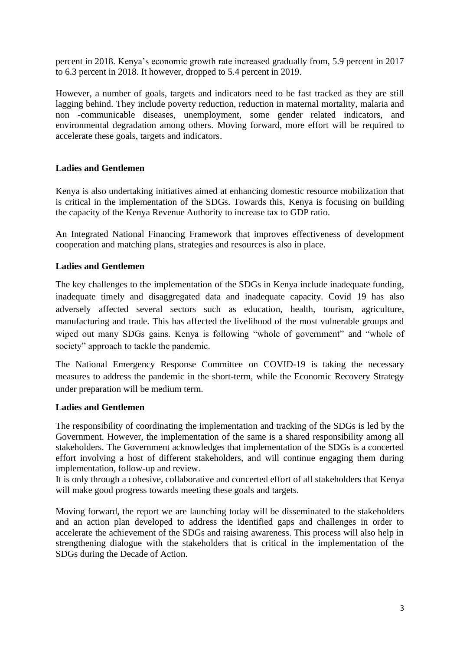percent in 2018. Kenya's economic growth rate increased gradually from, 5.9 percent in 2017 to 6.3 percent in 2018. It however, dropped to 5.4 percent in 2019.

However, a number of goals, targets and indicators need to be fast tracked as they are still lagging behind. They include poverty reduction, reduction in maternal mortality, malaria and non -communicable diseases, unemployment, some gender related indicators, and environmental degradation among others. Moving forward, more effort will be required to accelerate these goals, targets and indicators.

# **Ladies and Gentlemen**

Kenya is also undertaking initiatives aimed at enhancing domestic resource mobilization that is critical in the implementation of the SDGs. Towards this, Kenya is focusing on building the capacity of the Kenya Revenue Authority to increase tax to GDP ratio.

An Integrated National Financing Framework that improves effectiveness of development cooperation and matching plans, strategies and resources is also in place.

# **Ladies and Gentlemen**

The key challenges to the implementation of the SDGs in Kenya include inadequate funding, inadequate timely and disaggregated data and inadequate capacity. Covid 19 has also adversely affected several sectors such as education, health, tourism, agriculture, manufacturing and trade. This has affected the livelihood of the most vulnerable groups and wiped out many SDGs gains. Kenya is following "whole of government" and "whole of society" approach to tackle the pandemic.

The National Emergency Response Committee on COVID-19 is taking the necessary measures to address the pandemic in the short-term, while the Economic Recovery Strategy under preparation will be medium term.

#### **Ladies and Gentlemen**

The responsibility of coordinating the implementation and tracking of the SDGs is led by the Government. However, the implementation of the same is a shared responsibility among all stakeholders. The Government acknowledges that implementation of the SDGs is a concerted effort involving a host of different stakeholders, and will continue engaging them during implementation, follow-up and review.

It is only through a cohesive, collaborative and concerted effort of all stakeholders that Kenya will make good progress towards meeting these goals and targets.

Moving forward, the report we are launching today will be disseminated to the stakeholders and an action plan developed to address the identified gaps and challenges in order to accelerate the achievement of the SDGs and raising awareness. This process will also help in strengthening dialogue with the stakeholders that is critical in the implementation of the SDGs during the Decade of Action.